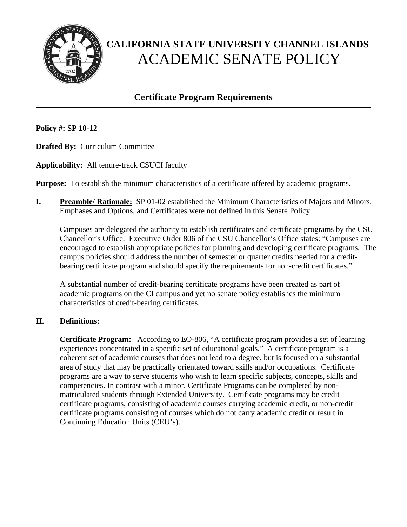

## **CALIFORNIA STATE UNIVERSITY CHANNEL ISLANDS**  ACADEMIC SENATE POLICY

## **Certificate Program Requirements**

**Policy #: SP 10-12** 

**Drafted By:** Curriculum Committee

**Applicability:** All tenure-track CSUCI faculty

֧֖֖֖֖֚֚֚֚֞֝֬

**Purpose:** To establish the minimum characteristics of a certificate offered by academic programs.

**I. Preamble/ Rationale:** SP 01-02 established the Minimum Characteristics of Majors and Minors. Emphases and Options, and Certificates were not defined in this Senate Policy.

Campuses are delegated the authority to establish certificates and certificate programs by the CSU Chancellor's Office. Executive Order 806 of the CSU Chancellor's Office states: "Campuses are encouraged to establish appropriate policies for planning and developing certificate programs. The campus policies should address the number of semester or quarter credits needed for a creditbearing certificate program and should specify the requirements for non-credit certificates."

A substantial number of credit-bearing certificate programs have been created as part of academic programs on the CI campus and yet no senate policy establishes the minimum characteristics of credit-bearing certificates.

### **II. Definitions:**

**Certificate Program:** According to EO-806, "A certificate program provides a set of learning experiences concentrated in a specific set of educational goals." A certificate program is a coherent set of academic courses that does not lead to a degree, but is focused on a substantial area of study that may be practically orientated toward skills and/or occupations. Certificate programs are a way to serve students who wish to learn specific subjects, concepts, skills and competencies. In contrast with a minor, Certificate Programs can be completed by nonmatriculated students through Extended University. Certificate programs may be credit certificate programs, consisting of academic courses carrying academic credit, or non-credit certificate programs consisting of courses which do not carry academic credit or result in Continuing Education Units (CEU's).